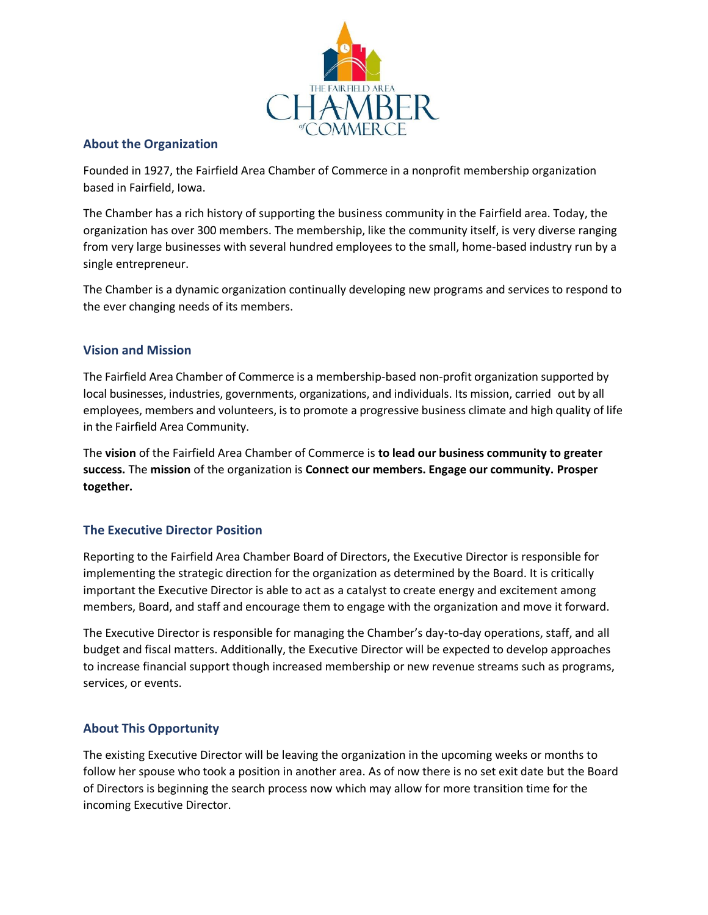

## **About the Organization**

Founded in 1927, the Fairfield Area Chamber of Commerce in a nonprofit membership organization based in Fairfield, Iowa.

The Chamber has a rich history of supporting the business community in the Fairfield area. Today, the organization has over 300 members. The membership, like the community itself, is very diverse ranging from very large businesses with several hundred employees to the small, home-based industry run by a single entrepreneur.

The Chamber is a dynamic organization continually developing new programs and services to respond to the ever changing needs of its members.

# **Vision and Mission**

The Fairfield Area Chamber of Commerce is a membership-based non-profit organization supported by local businesses, industries, governments, organizations, and individuals. Its mission, carried out by all employees, members and volunteers, is to promote a progressive business climate and high quality of life in the Fairfield Area Community.

The **vision** of the Fairfield Area Chamber of Commerce is **to lead our business community to greater success.** The **mission** of the organization is **Connect our members. Engage our community. Prosper together.**

# **The Executive Director Position**

Reporting to the Fairfield Area Chamber Board of Directors, the Executive Director is responsible for implementing the strategic direction for the organization as determined by the Board. It is critically important the Executive Director is able to act as a catalyst to create energy and excitement among members, Board, and staff and encourage them to engage with the organization and move it forward.

The Executive Director is responsible for managing the Chamber's day-to-day operations, staff, and all budget and fiscal matters. Additionally, the Executive Director will be expected to develop approaches to increase financial support though increased membership or new revenue streams such as programs, services, or events.

# **About This Opportunity**

The existing Executive Director will be leaving the organization in the upcoming weeks or months to follow her spouse who took a position in another area. As of now there is no set exit date but the Board of Directors is beginning the search process now which may allow for more transition time for the incoming Executive Director.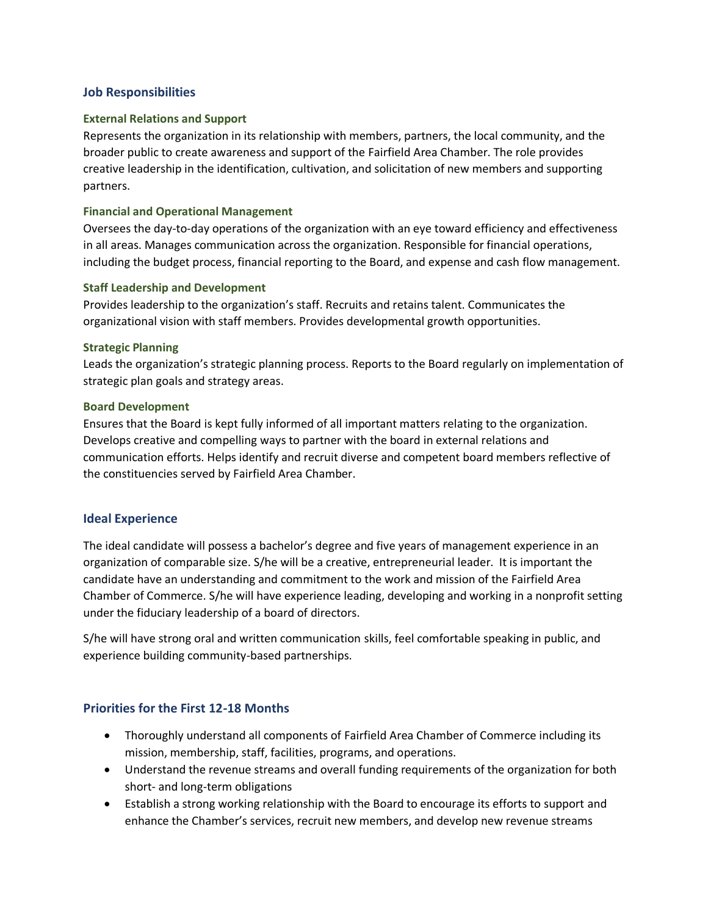## **Job Responsibilities**

#### **External Relations and Support**

Represents the organization in its relationship with members, partners, the local community, and the broader public to create awareness and support of the Fairfield Area Chamber. The role provides creative leadership in the identification, cultivation, and solicitation of new members and supporting partners.

#### **Financial and Operational Management**

Oversees the day-to-day operations of the organization with an eye toward efficiency and effectiveness in all areas. Manages communication across the organization. Responsible for financial operations, including the budget process, financial reporting to the Board, and expense and cash flow management.

#### **Staff Leadership and Development**

Provides leadership to the organization's staff. Recruits and retains talent. Communicates the organizational vision with staff members. Provides developmental growth opportunities.

#### **Strategic Planning**

Leads the organization's strategic planning process. Reports to the Board regularly on implementation of strategic plan goals and strategy areas.

#### **Board Development**

Ensures that the Board is kept fully informed of all important matters relating to the organization. Develops creative and compelling ways to partner with the board in external relations and communication efforts. Helps identify and recruit diverse and competent board members reflective of the constituencies served by Fairfield Area Chamber.

### **Ideal Experience**

The ideal candidate will possess a bachelor's degree and five years of management experience in an organization of comparable size. S/he will be a creative, entrepreneurial leader. It is important the candidate have an understanding and commitment to the work and mission of the Fairfield Area Chamber of Commerce. S/he will have experience leading, developing and working in a nonprofit setting under the fiduciary leadership of a board of directors.

S/he will have strong oral and written communication skills, feel comfortable speaking in public, and experience building community-based partnerships.

### **Priorities for the First 12-18 Months**

- Thoroughly understand all components of Fairfield Area Chamber of Commerce including its mission, membership, staff, facilities, programs, and operations.
- Understand the revenue streams and overall funding requirements of the organization for both short- and long-term obligations
- Establish a strong working relationship with the Board to encourage its efforts to support and enhance the Chamber's services, recruit new members, and develop new revenue streams